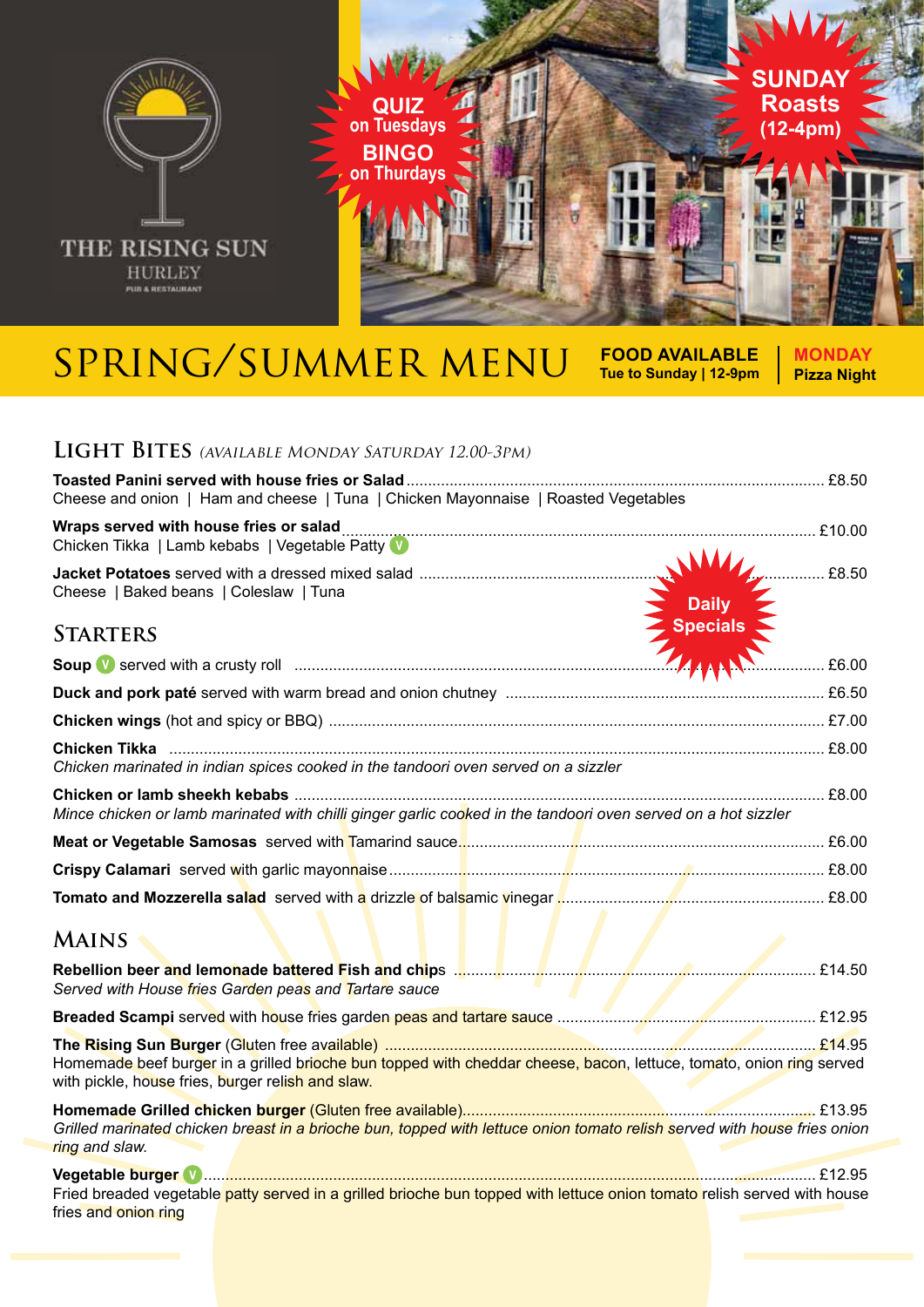

## SPRING/SUMMER MENU FOOD AVAILABLE

**Tue to Sunday | 12-9pm**

**MONDAY Pizza Night**

## **Light Bites** (available Monday Saturday 12.00-3pm)

| Cheese and onion   Ham and cheese   Tuna   Chicken Mayonnaise   Roasted Vegetables                                                                                       |       |  |
|--------------------------------------------------------------------------------------------------------------------------------------------------------------------------|-------|--|
| Chicken Tikka   Lamb kebabs   Vegetable Patty V                                                                                                                          |       |  |
| Cheese   Baked beans   Coleslaw   Tuna<br>Daily<br>Specials                                                                                                              | £8.50 |  |
| <b>STARTERS</b>                                                                                                                                                          |       |  |
|                                                                                                                                                                          | £6.00 |  |
|                                                                                                                                                                          |       |  |
|                                                                                                                                                                          |       |  |
| Chicken marinated in indian spices cooked in the tandoori oven served on a sizzler                                                                                       |       |  |
| Mince chicken or lamb marinated with chilli ginger garlic cooked in the tandoori oven served on a hot sizzler                                                            |       |  |
|                                                                                                                                                                          |       |  |
|                                                                                                                                                                          |       |  |
| Tomato and Mozzerella salad served with a drizzle of balsamic vinegar <b>Museum Museum Museum Museum</b> £8.00                                                           |       |  |
| <b>MAINS</b>                                                                                                                                                             |       |  |
| Served with House fries Garden peas and Tartare sauce                                                                                                                    |       |  |
|                                                                                                                                                                          |       |  |
| Homemade beef burger in a grilled brioche bun topped with cheddar cheese, bacon, lettuce, tomato, onion ring served<br>with pickle, house fries, burger relish and slaw. |       |  |
| Grilled marinated chicken breast in a brioche bun, topped with lettuce onion tomato relish served with house fries onion<br>ring and slaw.                               |       |  |
| Fried breaded vegetable patty served in a grilled brioche bun topped with lettuce onion tomato relish served with house<br>fries and onion ring                          |       |  |